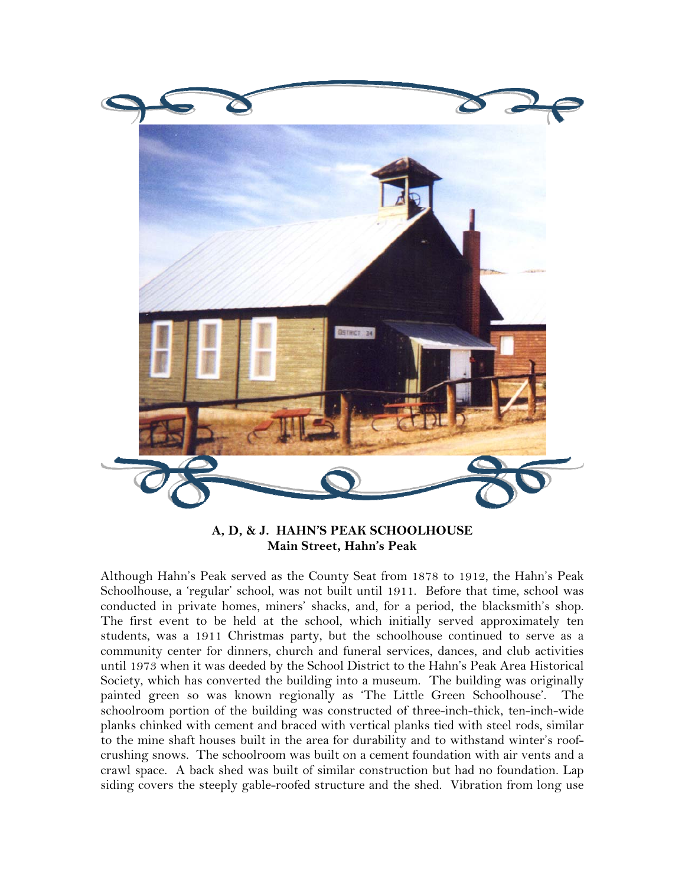

**A, D, & J. HAHN'S PEAK SCHOOLHOUSE Main Street, Hahn's Peak** 

Although Hahn's Peak served as the County Seat from 1878 to 1912, the Hahn's Peak Schoolhouse, a 'regular' school, was not built until 1911. Before that time, school was conducted in private homes, miners' shacks, and, for a period, the blacksmith's shop. The first event to be held at the school, which initially served approximately ten students, was a 1911 Christmas party, but the schoolhouse continued to serve as a community center for dinners, church and funeral services, dances, and club activities until 1973 when it was deeded by the School District to the Hahn's Peak Area Historical Society, which has converted the building into a museum. The building was originally painted green so was known regionally as 'The Little Green Schoolhouse'. The schoolroom portion of the building was constructed of three-inch-thick, ten-inch-wide planks chinked with cement and braced with vertical planks tied with steel rods, similar to the mine shaft houses built in the area for durability and to withstand winter's roofcrushing snows. The schoolroom was built on a cement foundation with air vents and a crawl space. A back shed was built of similar construction but had no foundation. Lap siding covers the steeply gable-roofed structure and the shed. Vibration from long use